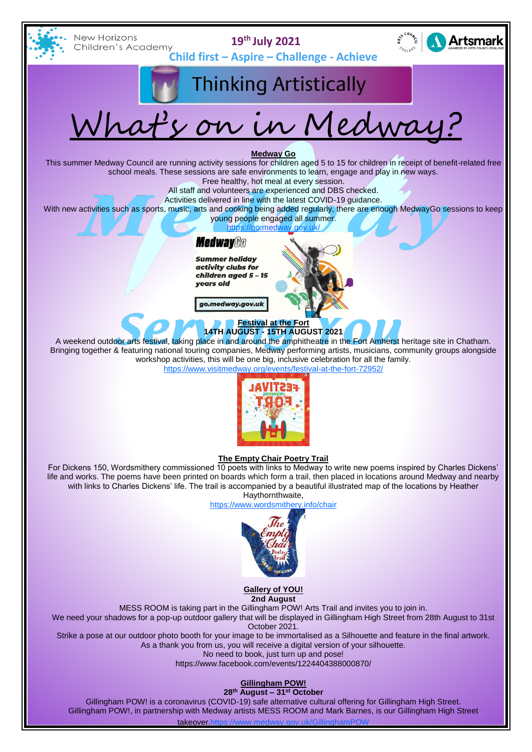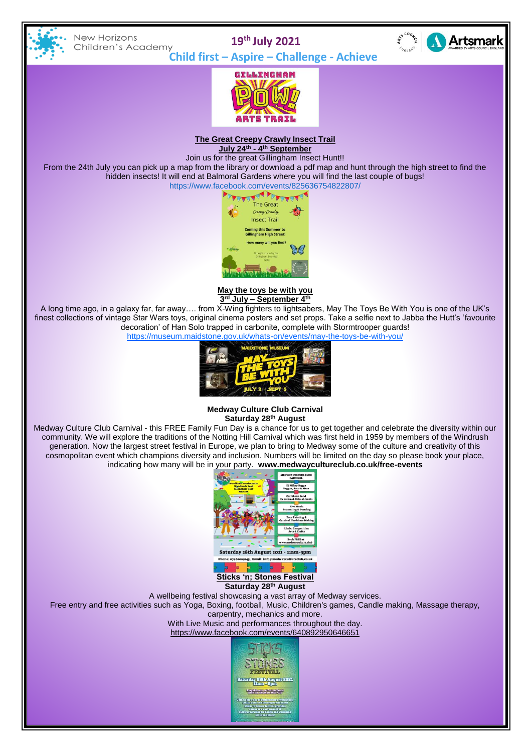